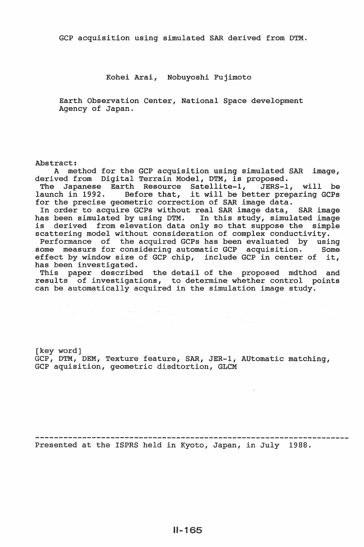GCP acquisition using simulated SAR derived from DTM.

## Kohei Arai, Nobuyoshi Fujimoto

Earth Observation Center, National Space development Agency of Japan.

### Abstract:

A method for the GCP acquisition using simulated SAR image, derived from Digital Terrain Model, DTM, is proposed.

The Japanese Earth Resource Satellite-!, JERS-1, will be The Japanese Earth Resource Satellite-1, JERS-1, Will be<br>launch in 1992. Before that, it will be better preparing GCPs for the precise geometric correction of SAR image data.

In order to acquire GCPs without real SAR image data, SAR image has been simulated by using DTM. In this study, simulated image is derived from elevation data only so that suppose the simple scattering model without consideration of complex conductivity.

Performance of the acquired GCPs has been evaluated by using some measurs for considering automatic GCP acquisition. Some effect by window size of GCP chip, include GCP in center of it, has been investigated.

This paper described the detail of the proposed mdthod and results of investigations, to determine whether control points can be automatically acquired in the simulation image study.

[key word] GCP, DTM, DEM, Texture feature, SAR, JER-1, AUtomatic matching, GCP aquisition, geometric disdtortion, GLCM

Presented at the ISPRS held in Kyoto, Japan, in July 1988.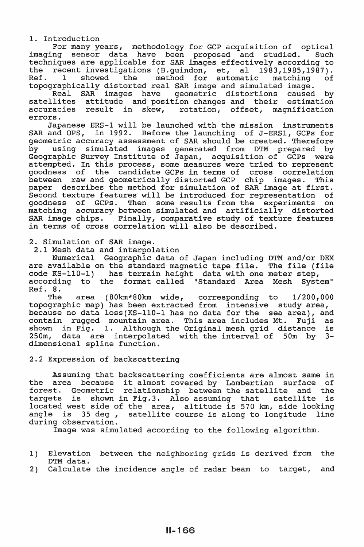1. Introduction

For many years, methodology for GCP acquisition of optical imaging sensor data have been proposed and studied. Such techniques are applicable for SAR images effectively according to the recent investigations (B.guindon, et, al 1983,1985,1987). Ref. 1 showed the method for automatic matching of topographically distorted real SAR image and simulated image.

Real SAR images have geometric distortions caused by satellites attitude and position changes and their estimation accuracies result in skew, rotation, offset, magnification errors.

Japanese ERS-1 will be launched with the mission instruments SAR and OPS, in 1992. Before the launching of J-ERS1, GCPs for geometric accuracy assessment of SAR should be created. Therefore by using simulated images generated from DTM prepared by Geographic Survey Institute of Japan, acquisition of GCPs were attempted. In this process, some measures were tried to represent goodness of the candidate GCPs in terms of cross correlation between raw and geometrically distorted GCP chip images. This paper describes the method for simulation of SAR image at first. Second texture features will be introduced for representation of<br>goodness of GCPs. Then some results from the experiments on goodness of GCPs. Then some results from the experiments matching accuracy between simulated and artificially distorted SAR image chips. Finally, comparative study of texture features in terms of cross correlation will also be described.

2. Simulation of SAR image.

2.1 Mesh data and interpolation

Numerical Geographic data of Japan including DTM and/or DEM are available on the standard magnetic tape file. The file (file code KS-110-1) has terrain height data with one meter step, according to the format called "Standard Area Mesh Ref. 8. System"

The area (80km\*80km wide, corresponding to 1/200,000 topographic map) has been extracted from intensive study area, because no data loss(KS-110-1 has no data for the sea area), and contain rugged mountain area. This area includes Mt. Fuji as shown in Fig. 1. Although the Original mesh grid distance is shown in Fig. 1. Although the Original mesh grid distance is<br>250m, data are interpolated with the interval of 50m by 3dimensional spline function.

2.2 Expression of backscattering

Assuming that backscattering coefficients are almost same in Assuming that backscattering coefficients are almost same in<br>the area because it almost covered by Lambertian surface of forest. Geometric relationship between the satellite and the targets is shown in Fig.3. Also assuming that satellite is located west side of the area, altitude is 570 km, side looking angle is 35 deg , satellite course is along to longitude line during observation.

Image was simulated according to the following algorithm.

- 1) Elevation between the neighboring grids is derived from the DTM data.
- 2) Calculate the incidence angle of radar beam to target, and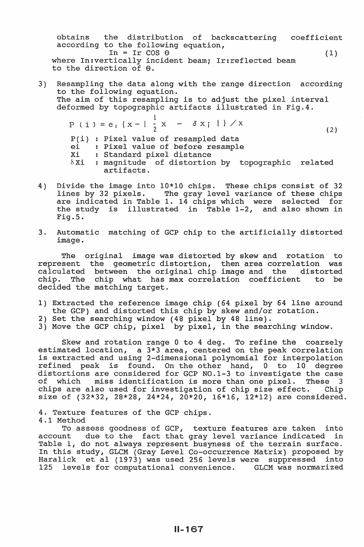obtains the distribution of backscattering coefficient according to the following equation,  $In = Ir \cos \theta$  (1) where In:vertically incident beam; Ir:reflected beam to the direction of  $\theta$ .

- 3) Resampling the data along with the range direction according to the following equation. The aim of this resampling is to adjust the pixel interval deformed by topographic artifacts illustrated in Fig.4.  $P (i) = e_i {x-1\frac{1}{2}x - \delta x_i}$   $\lambda$  (2)
	- $P(i)$  : Pixel value of resampled data ei : Pixel value of before resample Xi Standard pixel distance  $\delta$ Xi : magnitude of distortion by topographic related
	- artifacts.
- 4) Divide the image into 10\*10 chips. These chips consist of 32 dines by 32 pixels. The gray level variance of these chips are indicated in Table 1. 14 chips which were selected for the study is illustrated in Table 1-2, and also shown in Fig.5.
- 3. Automatic matching of GCP chip to the artificially distorted image.

The original image was distorted by skew and rotation to represent the geometric distortion, then area correlation was calculated between the original chip image and the distorted chip. The chip what has max correlation coefficient to be decided the matching target.

- 1) Extracted the reference image chip (64 pixel by 64 line around the GCP) and distorted this chip by skew and/or rotation.
- 2) Set the searching window (48 pixel by 48 line).
- 3) Move the GCP chip, pixel by pixel, in the searching window.

Skew and rotation range 0 to 4 deg. To refine the coarsely estimated location, a 3\*3 area, centered on the peak correlation is extracted and using 2-dimensional polynomial for interpolation refined peak is found. On the other hand, 0 to 10 degree distortions are considered for GCP NO.l-3 to investigate the case of which miss identification is more than one pixel. These 3<br>chips are also used for investigation of chip size effect. Chip chips are also used for investigation of chip size effect. size of (32\*32, 28\*28, 24\*24, 20\*20, 16\*16, 12\*12) are considered.

4. Texture features of the GCP chips. 4.1 Method

To assess goodness of GCP, texture features are taken into<br>account due to the fact that grav level variance indicated in due to the fact that gray level variance indicated in Table 1, do not always represent busyness of the terrain surface. In this study, GLCM (Gray Level Co-occurrence Matrix) proposed by Haralick et al (1973) was used 256 levels were suppressed into 125 levels for computational convenience. GLCM was normarized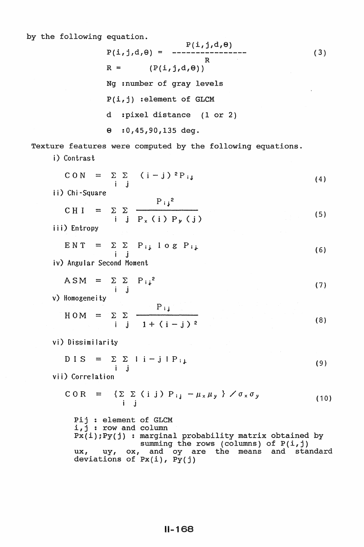**C** 

 $\overline{C}$ 

ENT

A<sub>1</sub>

DIS

$$
P(i,j,d,\theta) = \frac{P(i,j,d,\theta)}{R}
$$
\n
$$
P(i,j,d,\theta) = \frac{P(i,j,d,\theta)}{R}
$$
\n
$$
R = (P(i,j,d,\theta))
$$
\n
$$
Nq = number of gray levels
$$
\n
$$
P(i,j) = 1
$$
\n
$$
P(i,j) = 1
$$
\n
$$
Nq = number of gray levels
$$
\n
$$
P(i,j) = 1
$$
\n
$$
Nq = number of GLCM
$$
\n
$$
d = 1
$$
\n
$$
d = 1
$$
\n
$$
d = 1
$$
\n
$$
d = 1
$$
\n
$$
d = 1
$$
\n
$$
d = 1
$$
\n
$$
d = 1
$$
\n
$$
d = 1
$$
\n
$$
d = 1
$$
\n
$$
d = 1
$$
\n
$$
d = 1
$$
\n
$$
d = 1
$$
\n
$$
d = 1
$$
\n
$$
d = 1
$$
\n
$$
d = 1
$$
\n
$$
d = 1
$$
\n
$$
d = 1
$$
\n
$$
d = 1
$$
\n
$$
d = 1
$$
\n
$$
d = 1
$$
\n
$$
d = 1
$$
\n
$$
d = 1
$$
\n
$$
d = 1
$$
\n
$$
d = 1
$$
\n
$$
d = 1
$$
\n
$$
d = 1
$$
\n
$$
d = 1
$$
\n
$$
d = 1
$$
\n
$$
d = 1
$$
\n
$$
d = 1
$$
\n
$$
d = 1
$$
\n
$$
d = 1
$$
\n
$$
d = 1
$$
\n
$$
d = 1
$$
\n
$$
d = 1
$$
\n
$$
d = 1
$$
\n
$$
d = 1
$$
\n
$$
d = 1
$$
\n
$$
d = 1
$$
\n
$$
d = 1
$$
\n
$$
d = 1
$$
\n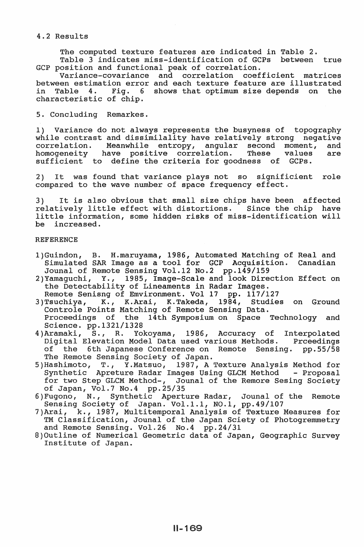## 4.2 Results

The computed texture features are indicated in Table 2.

Table 3 indicates miss-identification of GCPs between true GCP position and functional peak of correlation.

Variance-covariance and correlation coefficient matrices between estimation error and each texture feature are illustrated<br>in Table 4. Fig. 6 shows that optimum size depends on the Fig. 6 shows that optimum size depends on the characteristic of chip.

5. Concluding Remarkes.

1) Variance do not always represents the busyness of topography while contrast and dissimilality have relatively strong negative correlation. Meanwhile entropy, angular second moment, and correlation. Meanwhile entropy, angular second moment, and homogeneity have positive correlation. These values are homogeneity have positive correlation.<br>sufficient to define the criteria for goo define the criteria for goodness of GCPs.

2) It was found that variance plays not so significient role compared to the wave number of space frequency effect.

3) It is also obvious that small size chips have been affected relatively little effect with distortions. Since the chip have little information, some hidden risks of miss-identification will increased.

## **REFERENCE**

- l)Guindon, B. H.maruyama, 1986, Automated Matching of Real and Simulated SAR Image as a tool for  $GCP$  Acquisition. Jounal of Remote Sensing Vol.12 No.2 pp.149/159<br>2) Yamaquchi, Y., 1985, Imaqe-Scale and look Dire
- Y., 1985, Image-Scale and look Direction Effect on the Detectability of Lineaments in Radar Images.
- Remote Senisng of Emvironment. Vol 17 pp. 117/127<br>3)Tsuchiya, K., K.Arai, K.Takeda, 1984, Studie 3)Tsuchiya, K., K.Arai, K.Takeda, 1984, Studies on Ground Controle Points Matching of Remote Sensing Data. Proceedings of the 14th Symposium on Space Technology and Science. pp.1321/1328
- 4)Aramaki, S., R. Yokoyama, 1986, Accuracy of Interpolated Digital Elevation Model Data used various Methods. Prceedings of the 6th Japanese Conference on Remote Sensing. pp.55/58 The Remote Sensing Society of Japan.
- 5)Hashimoto, T., Y.Matsuo, 1987, A Texture Analysis Method for Synthetic Apreture Radar Images Using GLCM Method - Proposal for two Step GLCM Method-, Jounal of the Remore Sesing Society of Japan, Vol.? No.4 pp.25/35
- 6)Fugono, N., Synthetic Aperture Radar, Jounal of the Remote Sensing Society of Japan. Vol.l.l, N0.1, pp.49/107
- 7)Arai, k., 1987, Multitemporal Analysis of Texture Measures for TM Classification, Jounal of the Japan Sciety of Photogremmetry and Remote Sensing. Vol.26 No.4 pp.24/31
- 8)0utline of Numerical Geometric data of Japan, Geographic Survey Institute of Japan.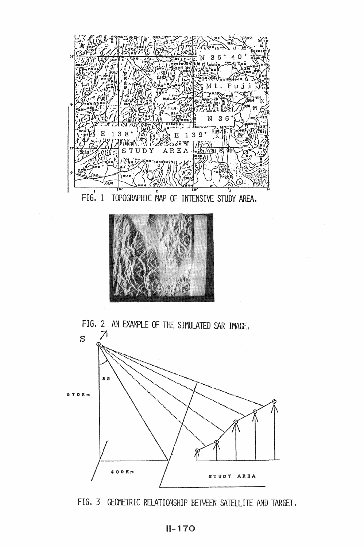







FIG. 3 GEOMETRIC RELATIONSHIP BETWEEN SATELLITE AND TARGET.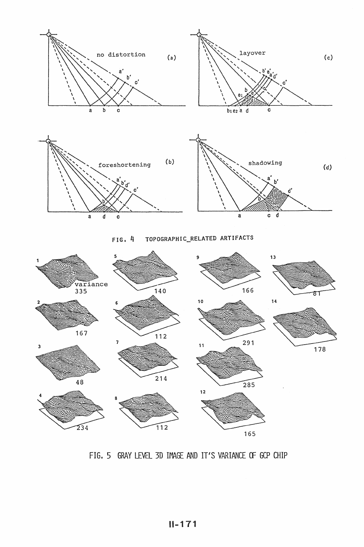

#### TOPOGRAPHIC\_RELATED ARTIFACTS  $FIG, 4$



FIG. 5 GRAY LEVEL 3D IMAGE AND IT'S VARIANCE OF GCP CHIP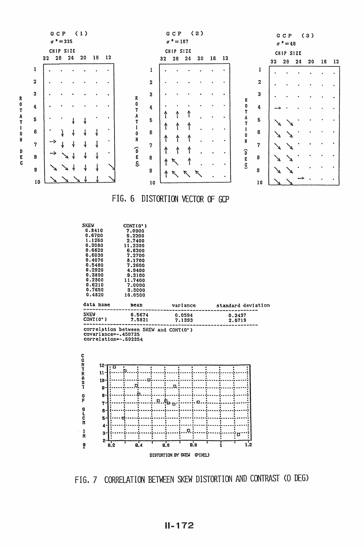

FIG. 7 CORRELATION BETWEEN SKEW DISTORTION AND CONTRAST (O DEG)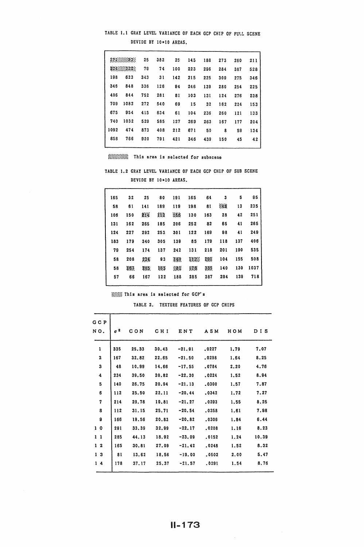# TABLE 1.1 GRAY LEVEL VARIANCE OF EACH GCP CHIP OF FULL SCENE DEVIDE BY 10\*10 AREAS.

|      | 1712222933 | 25  | 382 | 25  | 145 | 188 | 273 | 260 | 211 |
|------|------------|-----|-----|-----|-----|-----|-----|-----|-----|
|      | X24333203  | 79  | 74  | 100 | 223 | 296 | 284 | 387 | 528 |
| 198  | 623        | 343 | 31  | 142 | 215 | 225 | 309 | 275 | 346 |
| 346  | 848        | 336 | 126 | 94  | 246 | 139 | 280 | 254 | 225 |
| 406  | 844        | 752 | 281 | 81  | 103 | 131 | 124 | 276 | 238 |
| 709  | 1082       | 272 | 540 | 69  | 15  | 32  | 162 | 224 | 153 |
| 675  | 954        | 415 | 634 | 61  | 104 | 236 | 260 | 121 | 133 |
| 740  | 1032       | 529 | 585 | 127 | 269 | 263 | 167 | 177 | 204 |
| 1092 | 474        | 873 | 408 | 212 | 671 | 50  | 8   | 59  | 134 |
| 858  | 766        | 920 | 791 | 421 | 346 | 439 | 150 | 45  | 42  |
|      |            |     |     |     |     |     |     |     |     |

;:;:;:;:;:;:;:;:;:;:;:;:; This area is selected for subscene

TABLE 1.2 GRAY LEVEL VARIANCE OF EACH GCP CHIP OF SUB SCENE DEVIDE BY 10\*10 AREAS.

| 165 | 32  | 25   | 80  | 191 | 165  | 64  | 3    | 5   | 95   |
|-----|-----|------|-----|-----|------|-----|------|-----|------|
| 58  | 61  | 141  | 189 | 119 | 198  | 81  | - 48 | 13  | 235  |
| 106 | 150 | 対策   | 112 | 166 | 130  | 163 | 28   | 42  | 251  |
| 131 | 162 | 265  | 185 | 206 | 252  | 82  | 65   | 41  | 265  |
| 124 | 227 | 292  | 253 | 301 | 122  | 169 | 98   | 41  | 249  |
| 183 | 179 | 340  | 305 | 139 | 85   | 179 | 118  | 137 | 406  |
| 79  | 254 | 174  | 137 | 242 | 131  | 218 | 201  | 190 | 535  |
| 58  | 208 | 234  | 83  | 340 | N.Z. | 29F | 104  | 155 | 508  |
| 58  | X87 | 785. | 365 | 38) | 178  | 335 | 140  | 130 | 1037 |
| 57  | 66  | 167  | 122 | 188 | 285  | 287 | 294  | 139 | 718  |
|     |     |      |     |     |      |     |      |     |      |

:;:;:;:;:;:;: This area is selected for GCP' s

TABLE 2. TEXTURE FEATURES OF GCP CHIPS

| G C P          |                                |       |       |          |       |      |       |
|----------------|--------------------------------|-------|-------|----------|-------|------|-------|
| NO.            | $\sigma$ <sup>2</sup><br>C O N |       | CH I  | ENT      | ASM   | ном  | DIS   |
|                |                                |       |       |          |       |      |       |
| 1              | 335                            | 25.33 | 30.43 | $-21.91$ | .0227 | 1.79 | 7.07  |
| $\mathbf{z}$   | 167                            | 32.82 | 22.65 | $-21.50$ | .0298 | 1.64 | 8.25  |
| 3              | 48                             | 10.99 | 14.66 | $-17.55$ | .0784 | 2.20 | 4.76  |
| 4              | 234                            | 39.50 | 20.82 | $-22.30$ | .0224 | 1.52 | 8.94  |
| 5              | 140                            | 26.75 | 20.94 | $-21.13$ | .0300 | 1.57 | 7.87  |
| 6              | 112                            | 25.50 | 22.11 | $-20.44$ | .0342 | 1.72 | 7.27  |
| 7              | 214                            | 29.78 | 19.81 | $-21.27$ | .0293 | 1,55 | 8.25  |
| 8              | 112                            | 31.15 | 25.71 | $-20.54$ | .0358 | 1.61 | 7.98  |
| 8              | 166                            | 19.56 | 20.83 | $-20.82$ | .0306 | 1.84 | 6.44  |
| 10             | 291                            | 33.39 | 32.99 | $-22.17$ | .0208 | 1.16 | 8.23  |
| 11             | 285                            | 44.13 | 18.92 | $-23.09$ | .0152 | 1.24 | 10.39 |
| 12             | 165                            | 30.81 | 27.09 | $-21.42$ | .0248 | 1.52 | 8.32  |
| 1 <sup>3</sup> | 81                             | 13.62 | 18.56 | $-19.00$ | .0502 | 2.00 | 5.47  |
| 14             | 178                            | 37.17 | 25.37 | $-21.57$ | .0291 | 1.54 | 8.76  |
|                |                                |       |       |          |       |      |       |